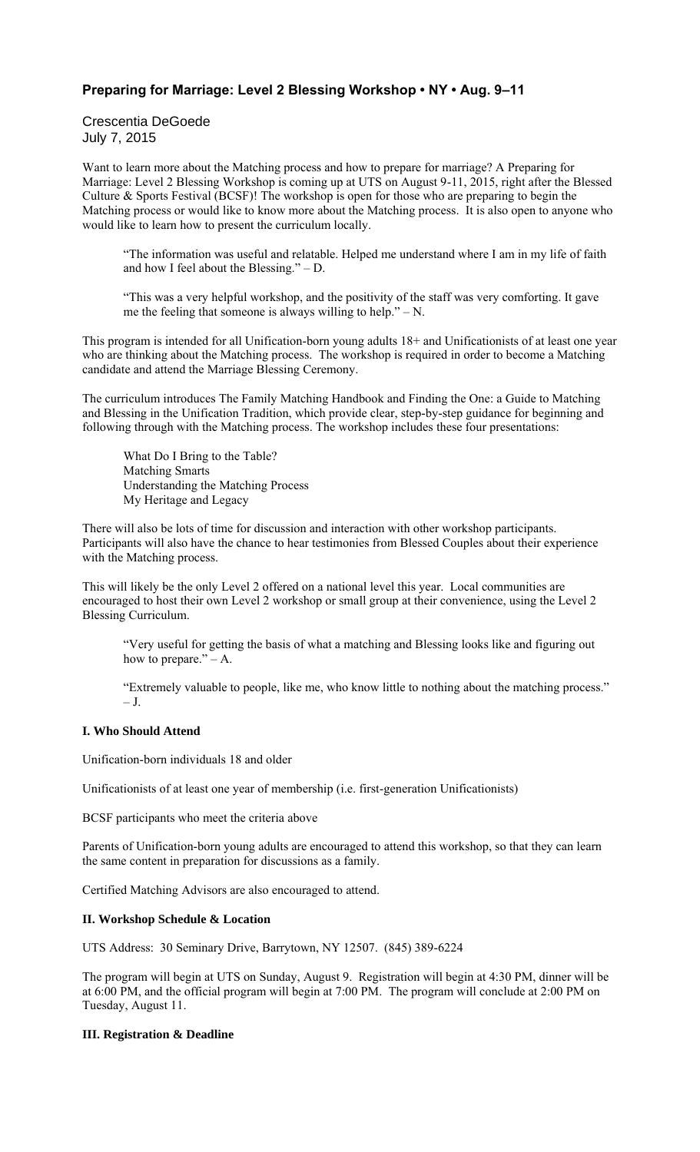# **Preparing for Marriage: Level 2 Blessing Workshop • NY • Aug. 9–11**

Crescentia DeGoede July 7, 2015

Want to learn more about the Matching process and how to prepare for marriage? A Preparing for Marriage: Level 2 Blessing Workshop is coming up at UTS on August 9-11, 2015, right after the Blessed Culture & Sports Festival (BCSF)! The workshop is open for those who are preparing to begin the Matching process or would like to know more about the Matching process. It is also open to anyone who would like to learn how to present the curriculum locally.

"The information was useful and relatable. Helped me understand where I am in my life of faith and how I feel about the Blessing." – D.

"This was a very helpful workshop, and the positivity of the staff was very comforting. It gave me the feeling that someone is always willing to help." $- N$ .

This program is intended for all Unification-born young adults 18+ and Unificationists of at least one year who are thinking about the Matching process. The workshop is required in order to become a Matching candidate and attend the Marriage Blessing Ceremony.

The curriculum introduces The Family Matching Handbook and Finding the One: a Guide to Matching and Blessing in the Unification Tradition, which provide clear, step-by-step guidance for beginning and following through with the Matching process. The workshop includes these four presentations:

What Do I Bring to the Table? Matching Smarts Understanding the Matching Process My Heritage and Legacy

There will also be lots of time for discussion and interaction with other workshop participants. Participants will also have the chance to hear testimonies from Blessed Couples about their experience with the Matching process.

This will likely be the only Level 2 offered on a national level this year. Local communities are encouraged to host their own Level 2 workshop or small group at their convenience, using the Level 2 Blessing Curriculum.

"Very useful for getting the basis of what a matching and Blessing looks like and figuring out how to prepare." $- A$ .

"Extremely valuable to people, like me, who know little to nothing about the matching process." – J.

# **I. Who Should Attend**

Unification-born individuals 18 and older

Unificationists of at least one year of membership (i.e. first-generation Unificationists)

BCSF participants who meet the criteria above

Parents of Unification-born young adults are encouraged to attend this workshop, so that they can learn the same content in preparation for discussions as a family.

Certified Matching Advisors are also encouraged to attend.

#### **II. Workshop Schedule & Location**

UTS Address: 30 Seminary Drive, Barrytown, NY 12507. (845) 389-6224

The program will begin at UTS on Sunday, August 9. Registration will begin at 4:30 PM, dinner will be at 6:00 PM, and the official program will begin at 7:00 PM. The program will conclude at 2:00 PM on Tuesday, August 11.

## **III. Registration & Deadline**